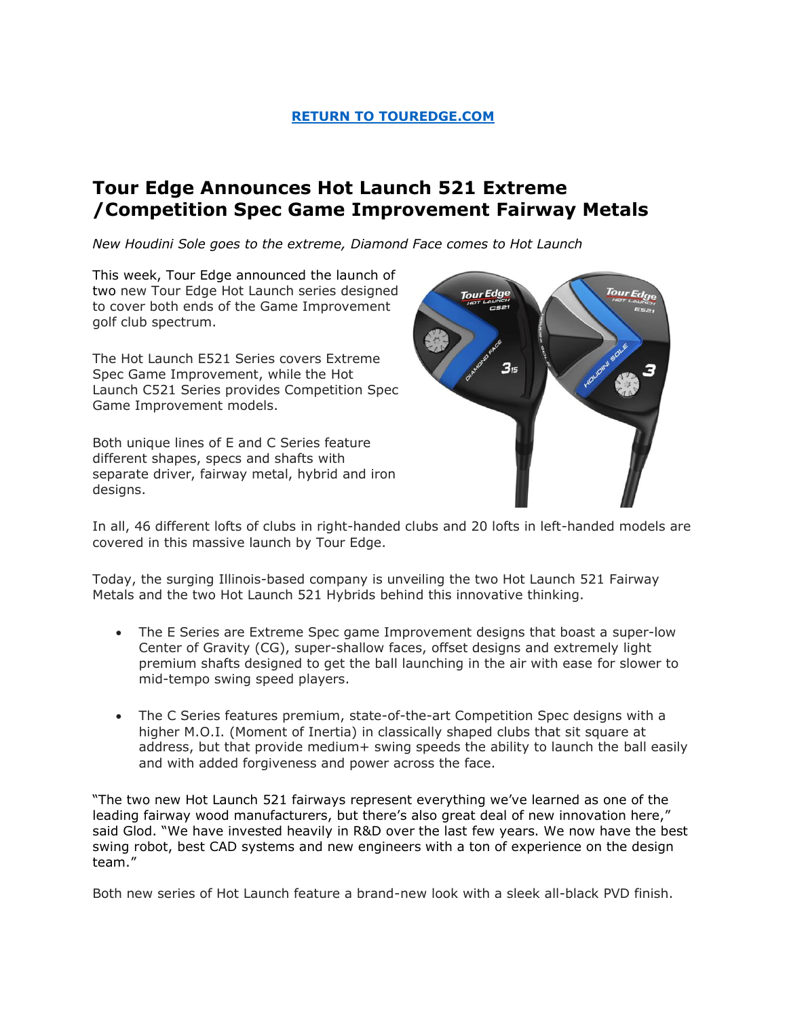## **[RETURN TO TOUREDGE.COM](https://www.touredge.com/)**

# **Tour Edge Announces Hot Launch 521 Extreme /Competition Spec Game Improvement Fairway Metals**

*New Houdini Sole goes to the extreme, Diamond Face comes to Hot Launch*

This week, Tour Edge announced the launch of two new Tour Edge Hot Launch series designed to cover both ends of the Game Improvement golf club spectrum.

The Hot Launch E521 Series covers Extreme Spec Game Improvement, while the Hot Launch C521 Series provides Competition Spec Game Improvement models.

Both unique lines of E and C Series feature different shapes, specs and shafts with separate driver, fairway metal, hybrid and iron designs.



In all, 46 different lofts of clubs in right-handed clubs and 20 lofts in left-handed models are covered in this massive launch by Tour Edge.

Today, the surging Illinois-based company is unveiling the two Hot Launch 521 Fairway Metals and the two Hot Launch 521 Hybrids behind this innovative thinking.

- The E Series are Extreme Spec game Improvement designs that boast a super-low Center of Gravity (CG), super-shallow faces, offset designs and extremely light premium shafts designed to get the ball launching in the air with ease for slower to mid-tempo swing speed players.
- The C Series features premium, state-of-the-art Competition Spec designs with a higher M.O.I. (Moment of Inertia) in classically shaped clubs that sit square at address, but that provide medium+ swing speeds the ability to launch the ball easily and with added forgiveness and power across the face.

"The two new Hot Launch 521 fairways represent everything we've learned as one of the leading fairway wood manufacturers, but there's also great deal of new innovation here," said Glod. "We have invested heavily in R&D over the last few years. We now have the best swing robot, best CAD systems and new engineers with a ton of experience on the design team."

Both new series of Hot Launch feature a brand-new look with a sleek all-black PVD finish.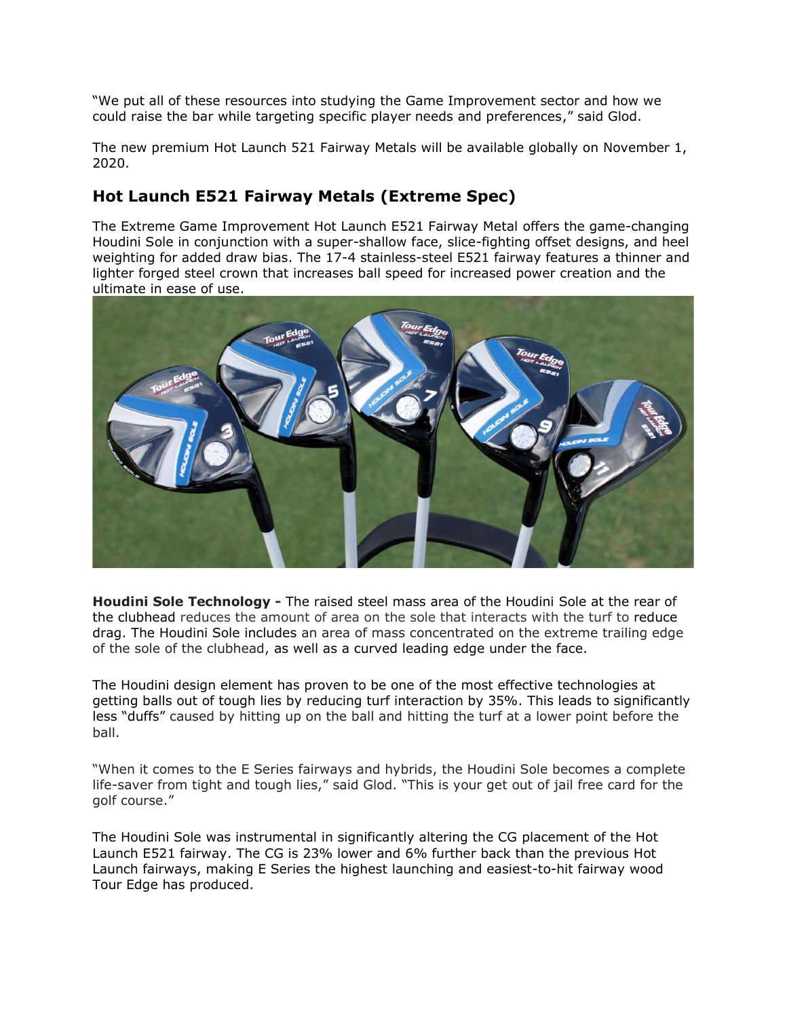"We put all of these resources into studying the Game Improvement sector and how we could raise the bar while targeting specific player needs and preferences," said Glod.

The new premium Hot Launch 521 Fairway Metals will be available globally on November 1, 2020.

# **Hot Launch E521 Fairway Metals (Extreme Spec)**

The Extreme Game Improvement Hot Launch E521 Fairway Metal offers the game-changing Houdini Sole in conjunction with a super-shallow face, slice-fighting offset designs, and heel weighting for added draw bias. The 17-4 stainless-steel E521 fairway features a thinner and lighter forged steel crown that increases ball speed for increased power creation and the ultimate in ease of use.



**Houdini Sole Technology -** The raised steel mass area of the Houdini Sole at the rear of the clubhead reduces the amount of area on the sole that interacts with the turf to reduce drag. The Houdini Sole includes an area of mass concentrated on the extreme trailing edge of the sole of the clubhead, as well as a curved leading edge under the face.

The Houdini design element has proven to be one of the most effective technologies at getting balls out of tough lies by reducing turf interaction by 35%. This leads to significantly less "duffs" caused by hitting up on the ball and hitting the turf at a lower point before the ball.

"When it comes to the E Series fairways and hybrids, the Houdini Sole becomes a complete life-saver from tight and tough lies," said Glod. "This is your get out of jail free card for the golf course."

The Houdini Sole was instrumental in significantly altering the CG placement of the Hot Launch E521 fairway. The CG is 23% lower and 6% further back than the previous Hot Launch fairways, making E Series the highest launching and easiest-to-hit fairway wood Tour Edge has produced.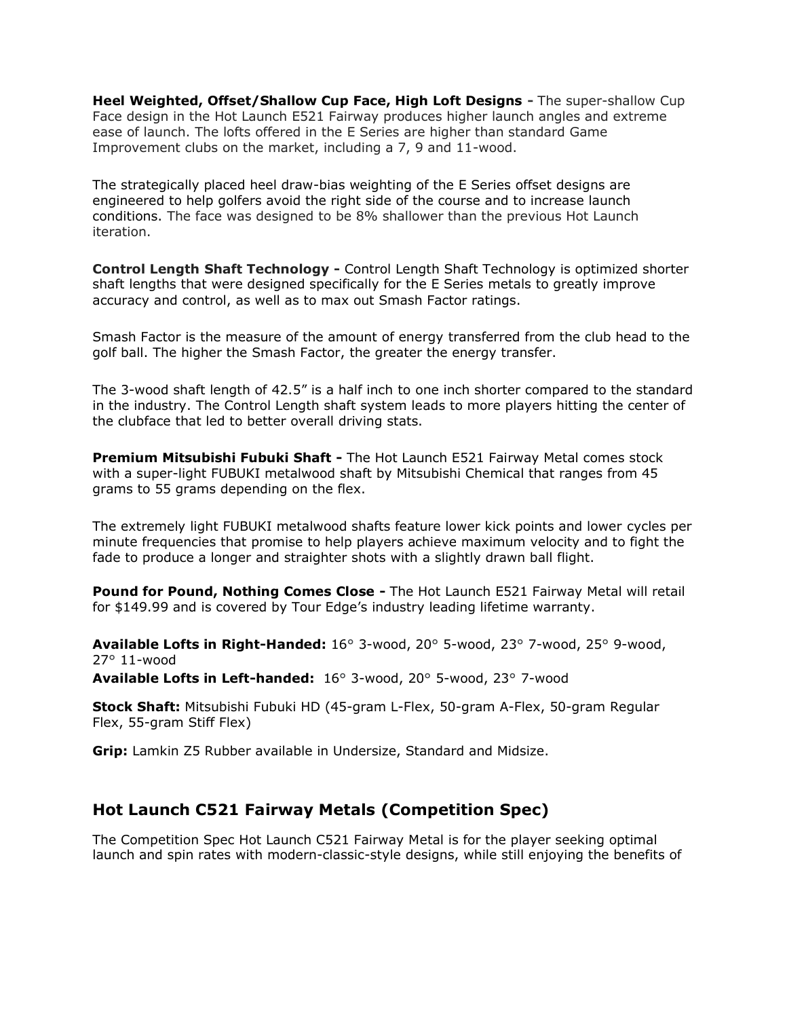**Heel Weighted, Offset/Shallow Cup Face, High Loft Designs -** The super-shallow Cup Face design in the Hot Launch E521 Fairway produces higher launch angles and extreme ease of launch. The lofts offered in the E Series are higher than standard Game Improvement clubs on the market, including a 7, 9 and 11-wood.

The strategically placed heel draw-bias weighting of the E Series offset designs are engineered to help golfers avoid the right side of the course and to increase launch conditions. The face was designed to be 8% shallower than the previous Hot Launch iteration.

**Control Length Shaft Technology -** Control Length Shaft Technology is optimized shorter shaft lengths that were designed specifically for the E Series metals to greatly improve accuracy and control, as well as to max out Smash Factor ratings.

Smash Factor is the measure of the amount of energy transferred from the club head to the golf ball. The higher the Smash Factor, the greater the energy transfer.

The 3-wood shaft length of 42.5" is a half inch to one inch shorter compared to the standard in the industry. The Control Length shaft system leads to more players hitting the center of the clubface that led to better overall driving stats.

**Premium Mitsubishi Fubuki Shaft -** The Hot Launch E521 Fairway Metal comes stock with a super-light FUBUKI metalwood shaft by Mitsubishi Chemical that ranges from 45 grams to 55 grams depending on the flex.

The extremely light FUBUKI metalwood shafts feature lower kick points and lower cycles per minute frequencies that promise to help players achieve maximum velocity and to fight the fade to produce a longer and straighter shots with a slightly drawn ball flight.

**Pound for Pound, Nothing Comes Close -** The Hot Launch E521 Fairway Metal will retail for \$149.99 and is covered by Tour Edge's industry leading lifetime warranty.

**Available Lofts in Right-Handed:** 16° 3-wood, 20° 5-wood, 23° 7-wood, 25° 9-wood, 27° 11-wood

**Available Lofts in Left-handed:** 16° 3-wood, 20° 5-wood, 23° 7-wood

**Stock Shaft:** Mitsubishi Fubuki HD (45-gram L-Flex, 50-gram A-Flex, 50-gram Regular Flex, 55-gram Stiff Flex)

**Grip:** Lamkin Z5 Rubber available in Undersize, Standard and Midsize.

## **Hot Launch C521 Fairway Metals (Competition Spec)**

The Competition Spec Hot Launch C521 Fairway Metal is for the player seeking optimal launch and spin rates with modern-classic-style designs, while still enjoying the benefits of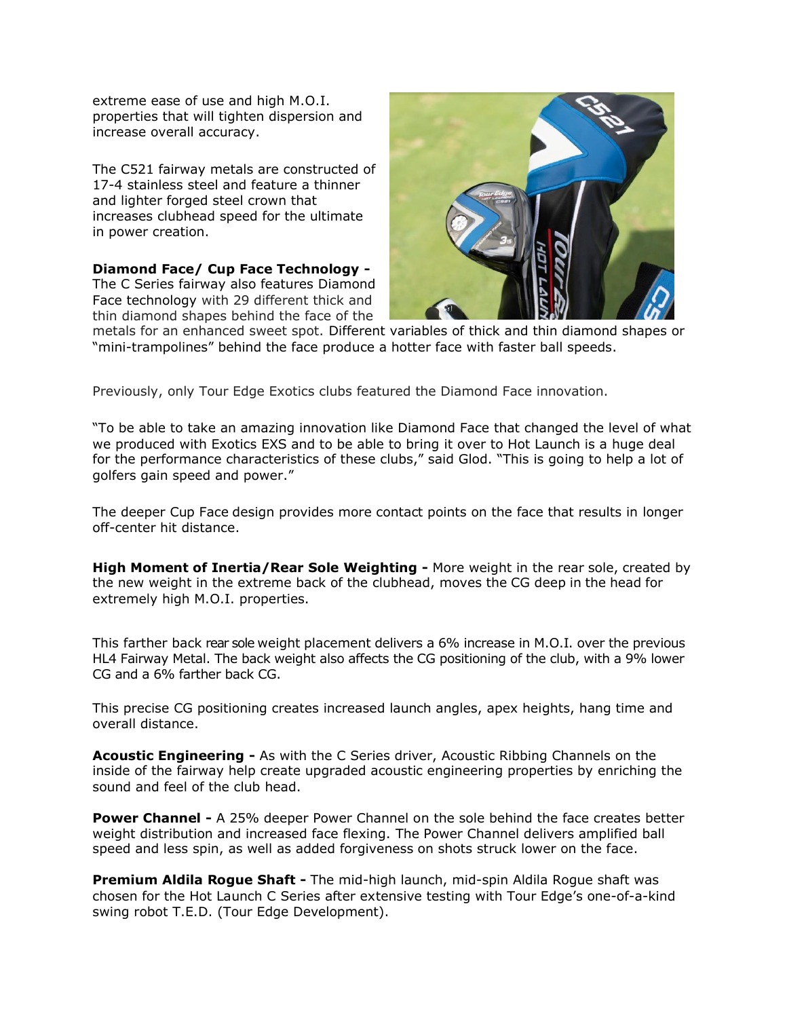extreme ease of use and high M.O.I. properties that will tighten dispersion and increase overall accuracy.

The C521 fairway metals are constructed of 17-4 stainless steel and feature a thinner and lighter forged steel crown that increases clubhead speed for the ultimate in power creation.

**Diamond Face/ Cup Face Technology -** The C Series fairway also features Diamond Face technology with 29 different thick and thin diamond shapes behind the face of the



metals for an enhanced sweet spot. Different variables of thick and thin diamond shapes or "mini-trampolines" behind the face produce a hotter face with faster ball speeds.

Previously, only Tour Edge Exotics clubs featured the Diamond Face innovation.

"To be able to take an amazing innovation like Diamond Face that changed the level of what we produced with Exotics EXS and to be able to bring it over to Hot Launch is a huge deal for the performance characteristics of these clubs," said Glod. "This is going to help a lot of golfers gain speed and power."

The deeper Cup Face design provides more contact points on the face that results in longer off-center hit distance.

**High Moment of Inertia/Rear Sole Weighting -** More weight in the rear sole, created by the new weight in the extreme back of the clubhead, moves the CG deep in the head for extremely high M.O.I. properties.

This farther back rear sole weight placement delivers a 6% increase in M.O.I. over the previous HL4 Fairway Metal. The back weight also affects the CG positioning of the club, with a 9% lower CG and a 6% farther back CG.

This precise CG positioning creates increased launch angles, apex heights, hang time and overall distance.

**Acoustic Engineering -** As with the C Series driver, Acoustic Ribbing Channels on the inside of the fairway help create upgraded acoustic engineering properties by enriching the sound and feel of the club head.

**Power Channel -** A 25% deeper Power Channel on the sole behind the face creates better weight distribution and increased face flexing. The Power Channel delivers amplified ball speed and less spin, as well as added forgiveness on shots struck lower on the face.

**Premium Aldila Rogue Shaft -** The mid-high launch, mid-spin Aldila Rogue shaft was chosen for the Hot Launch C Series after extensive testing with Tour Edge's one-of-a-kind swing robot T.E.D. (Tour Edge Development).